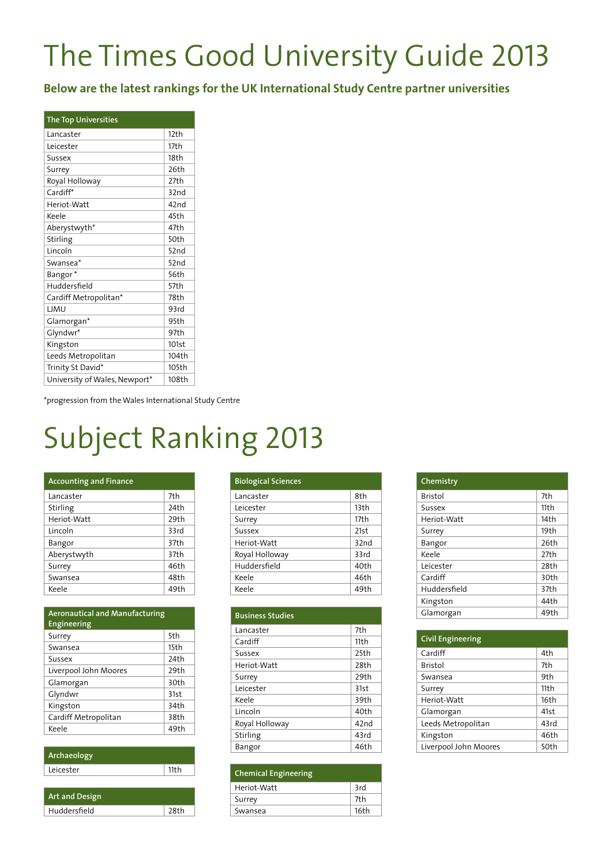## The Times Good University Guide 2013

**Below are the latest rankings for the UK International Study Centre partner universities**

| <b>The Top Universities</b>   |       |
|-------------------------------|-------|
| Lancaster                     | 12th  |
| Leicester                     | 17th  |
| Sussex                        | 18th  |
| Surrey                        | 26th  |
| Royal Holloway                | 27th  |
| Cardiff*                      | 32nd  |
| Heriot-Watt                   | 42nd  |
| Keele                         | 45th  |
| Aberystwyth*                  | 47th  |
| Stirling                      | 50th  |
| Lincoln                       | 52nd  |
| Swansea*                      | 52nd  |
| Bangor <sup>*</sup>           | 56th  |
| Huddersfield                  | 57th  |
| Cardiff Metropolitan*         | 78th  |
| LJMU                          | 93rd  |
| Glamorgan*                    | 95th  |
| Glyndwr*                      | 97th  |
| Kingston                      | 101st |
| Leeds Metropolitan            | 104th |
| Trinity St David*             | 105th |
| University of Wales, Newport* | 108th |

\*progression from the Wales International Study Centre

## Subject Ranking 2013

| <b>Accounting and Finance</b> |      |
|-------------------------------|------|
| Lancaster                     | 7th  |
| Stirling                      | 24th |
| Heriot-Watt                   | 29th |
| Lincoln                       | 33rd |
| Bangor                        | 37th |
| Aberystwyth                   | 37th |
| Surrey                        | 46th |
| Swansea                       | 48th |
| Keele                         | 49th |

| <b>Aeronautical and Manufacturing</b><br><b>Engineering</b> |      |
|-------------------------------------------------------------|------|
| Surrey                                                      | 5th  |
| Swansea                                                     | 15th |
| Sussex                                                      | 24th |
| Liverpool John Moores                                       | 29th |
| Glamorgan                                                   | 30th |
| Glyndwr                                                     | 31st |
| Kingston                                                    | 34th |
| Cardiff Metropolitan                                        | 38th |
| Keele                                                       | 49th |
|                                                             |      |

| Archaeology |      |
|-------------|------|
| Leicester   | 11th |
|             |      |

| Art and Design |      |
|----------------|------|
| Huddersfield   | 28th |

| <b>Biological Sciences</b> |      |
|----------------------------|------|
| Lancaster                  | 8th  |
| Leicester                  | 13th |
| Surrey                     | 17th |
| Sussex                     | 21st |
| Heriot-Watt                | 32nd |
| Royal Holloway             | 33rd |
| Huddersfield               | 40th |
| Keele                      | 46th |
| Keele                      | 49th |

| <b>Business Studies</b> |      |
|-------------------------|------|
| Lancaster               | 7th  |
| Cardiff                 | 11th |
| Sussex                  | 25th |
| Heriot-Watt             | 28th |
| Surrey                  | 29th |
| Leicester               | 31st |
| Keele                   | 39th |
| Lincoln                 | 40th |
| Royal Holloway          | 42nd |
| Stirling                | 43rd |
| Bangor                  | 46th |

| <b>Chemical Engineering</b> |      |
|-----------------------------|------|
| Heriot-Watt                 | 3rd  |
| Surrey                      | 7th  |
| Swansea                     | 16th |

| Chemistry      |      |
|----------------|------|
| <b>Bristol</b> | 7th  |
| Sussex         | 11th |
| Heriot-Watt    | 14th |
| Surrey         | 19th |
| Bangor         | 26th |
| Keele          | 27th |
| Leicester      | 28th |
| Cardiff        | 30th |
| Huddersfield   | 37th |
| Kingston       | 44th |
| Glamorgan      | 49th |

| <b>Civil Engineering</b> |      |
|--------------------------|------|
| Cardiff                  | 4th  |
| <b>Bristol</b>           | 7th  |
| Swansea                  | 9th  |
| Surrey                   | 11th |
| Heriot-Watt              | 16th |
| Glamorgan                | 41st |
| Leeds Metropolitan       | 43rd |
| Kingston                 | 46th |
| Liverpool John Moores    | 50th |